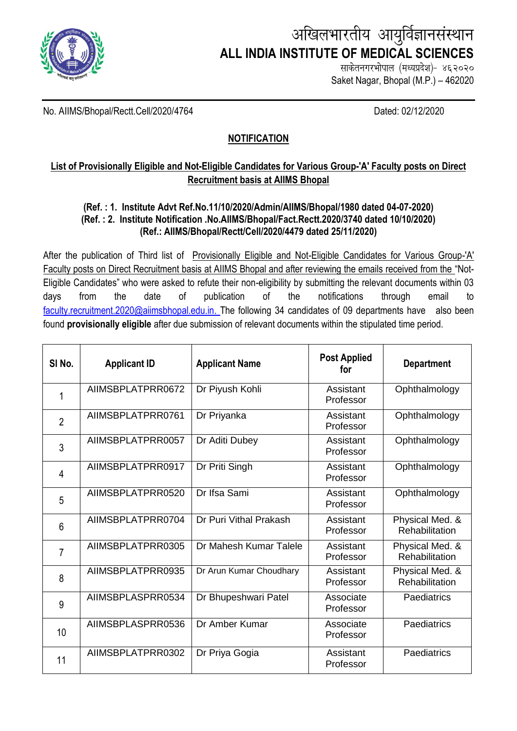

# अखिलभारतीय आयुर्विज्ञानसंस्थान **ALL INDIA INSTITUTE OF MEDICAL SCIENCES**

साकेतनगरभोपाल (मध्यप्रदेश)- ४६२०२० Saket Nagar, Bhopal (M.P.) – 462020

No. AIIMS/Bhopal/Rectt.Cell/2020/4764 Dated: 02/12/2020

## **NOTIFICATION**

## **List of Provisionally Eligible and Not-Eligible Candidates for Various Group-'A' Faculty posts on Direct Recruitment basis at AIIMS Bhopal**

### **(Ref. : 1. Institute Advt Ref.No.11/10/2020/Admin/AIIMS/Bhopal/1980 dated 04-07-2020) (Ref. : 2. Institute Notification .No.AIIMS/Bhopal/Fact.Rectt.2020/3740 dated 10/10/2020) (Ref.: AIIMS/Bhopal/Rectt/Cell/2020/4479 dated 25/11/2020)**

After the publication of Third list of Provisionally Eligible and Not-Eligible Candidates for Various Group-'A' Faculty posts on Direct Recruitment basis at AIIMS Bhopal and after reviewing the emails received from the "Not-Eligible Candidates" who were asked to refute their non-eligibility by submitting the relevant documents within 03 days from the date of publication of the notifications through email to [faculty.recruitment.2020@aiimsbhopal.edu.in.](mailto:faculty.recruitment.2020@aiimsbhopal.edu.in) The following 34 candidates of 09 departments have also been found **provisionally eligible** after due submission of relevant documents within the stipulated time period.

| SI <sub>No.</sub> | <b>Applicant ID</b> | <b>Applicant Name</b>   | <b>Post Applied</b><br>for | <b>Department</b>                 |
|-------------------|---------------------|-------------------------|----------------------------|-----------------------------------|
| 1                 | AIIMSBPLATPRR0672   | Dr Piyush Kohli         | Assistant<br>Professor     | Ophthalmology                     |
| $\overline{2}$    | AIIMSBPLATPRR0761   | Dr Priyanka             | Assistant<br>Professor     | Ophthalmology                     |
| 3                 | AIIMSBPLATPRR0057   | Dr Aditi Dubey          | Assistant<br>Professor     | Ophthalmology                     |
| $\overline{4}$    | AIIMSBPLATPRR0917   | Dr Priti Singh          | Assistant<br>Professor     | Ophthalmology                     |
| 5                 | AIIMSBPLATPRR0520   | Dr Ifsa Sami            | Assistant<br>Professor     | Ophthalmology                     |
| $6\phantom{1}$    | AIIMSBPLATPRR0704   | Dr Puri Vithal Prakash  | Assistant<br>Professor     | Physical Med. &<br>Rehabilitation |
| $\overline{7}$    | AIIMSBPLATPRR0305   | Dr Mahesh Kumar Talele  | Assistant<br>Professor     | Physical Med. &<br>Rehabilitation |
| 8                 | AIIMSBPLATPRR0935   | Dr Arun Kumar Choudhary | Assistant<br>Professor     | Physical Med. &<br>Rehabilitation |
| 9                 | AIIMSBPLASPRR0534   | Dr Bhupeshwari Patel    | Associate<br>Professor     | Paediatrics                       |
| 10                | AIIMSBPLASPRR0536   | Dr Amber Kumar          | Associate<br>Professor     | Paediatrics                       |
| 11                | AIIMSBPLATPRR0302   | Dr Priya Gogia          | Assistant<br>Professor     | Paediatrics                       |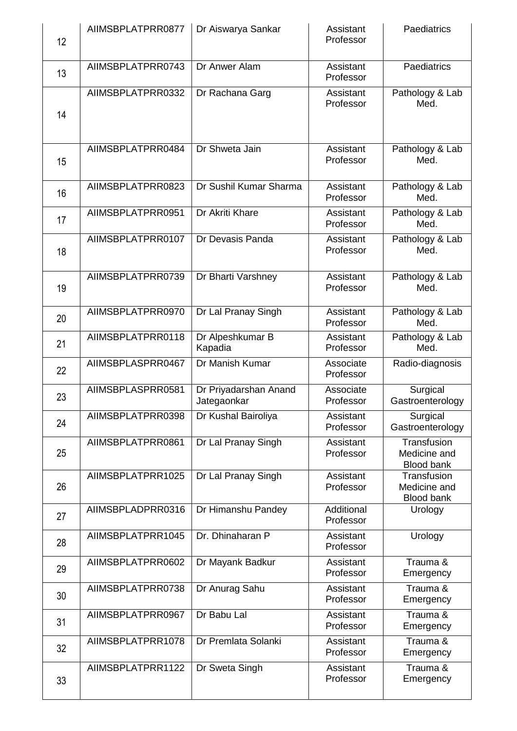| 12 | AIIMSBPLATPRR0877 | Dr Aiswarya Sankar                   | Assistant<br>Professor  | Paediatrics                                      |
|----|-------------------|--------------------------------------|-------------------------|--------------------------------------------------|
| 13 | AIIMSBPLATPRR0743 | Dr Anwer Alam                        | Assistant<br>Professor  | Paediatrics                                      |
| 14 | AIIMSBPLATPRR0332 | Dr Rachana Garg                      | Assistant<br>Professor  | Pathology & Lab<br>Med.                          |
| 15 | AIIMSBPLATPRR0484 | Dr Shweta Jain                       | Assistant<br>Professor  | Pathology & Lab<br>Med.                          |
| 16 | AIIMSBPLATPRR0823 | Dr Sushil Kumar Sharma               | Assistant<br>Professor  | Pathology & Lab<br>Med.                          |
| 17 | AIIMSBPLATPRR0951 | Dr Akriti Khare                      | Assistant<br>Professor  | Pathology & Lab<br>Med.                          |
| 18 | AIIMSBPLATPRR0107 | Dr Devasis Panda                     | Assistant<br>Professor  | Pathology & Lab<br>Med.                          |
| 19 | AIIMSBPLATPRR0739 | Dr Bharti Varshney                   | Assistant<br>Professor  | Pathology & Lab<br>Med.                          |
| 20 | AIIMSBPLATPRR0970 | Dr Lal Pranay Singh                  | Assistant<br>Professor  | Pathology & Lab<br>Med.                          |
| 21 | AIIMSBPLATPRR0118 | Dr Alpeshkumar B<br>Kapadia          | Assistant<br>Professor  | Pathology & Lab<br>Med.                          |
| 22 | AIIMSBPLASPRR0467 | Dr Manish Kumar                      | Associate<br>Professor  | Radio-diagnosis                                  |
| 23 | AIIMSBPLASPRR0581 | Dr Priyadarshan Anand<br>Jategaonkar | Associate<br>Professor  | Surgical<br>Gastroenterology                     |
| 24 | AIIMSBPLATPRR0398 | Dr Kushal Bairoliya                  | Assistant<br>Professor  | Surgical<br>Gastroenterology                     |
| 25 | AIIMSBPLATPRR0861 | Dr Lal Pranay Singh                  | Assistant<br>Professor  | Transfusion<br>Medicine and<br><b>Blood bank</b> |
| 26 | AIIMSBPLATPRR1025 | Dr Lal Pranay Singh                  | Assistant<br>Professor  | Transfusion<br>Medicine and<br>Blood bank        |
| 27 | AIIMSBPLADPRR0316 | Dr Himanshu Pandey                   | Additional<br>Professor | Urology                                          |
| 28 | AIIMSBPLATPRR1045 | Dr. Dhinaharan P                     | Assistant<br>Professor  | Urology                                          |
| 29 | AIIMSBPLATPRR0602 | Dr Mayank Badkur                     | Assistant<br>Professor  | Trauma &<br>Emergency                            |
| 30 | AIIMSBPLATPRR0738 | Dr Anurag Sahu                       | Assistant<br>Professor  | Trauma &<br>Emergency                            |
| 31 | AIIMSBPLATPRR0967 | Dr Babu Lal                          | Assistant<br>Professor  | Trauma &<br>Emergency                            |
| 32 | AIIMSBPLATPRR1078 | Dr Premlata Solanki                  | Assistant<br>Professor  | Trauma &<br>Emergency                            |
| 33 | AIIMSBPLATPRR1122 | Dr Sweta Singh                       | Assistant<br>Professor  | Trauma &<br>Emergency                            |